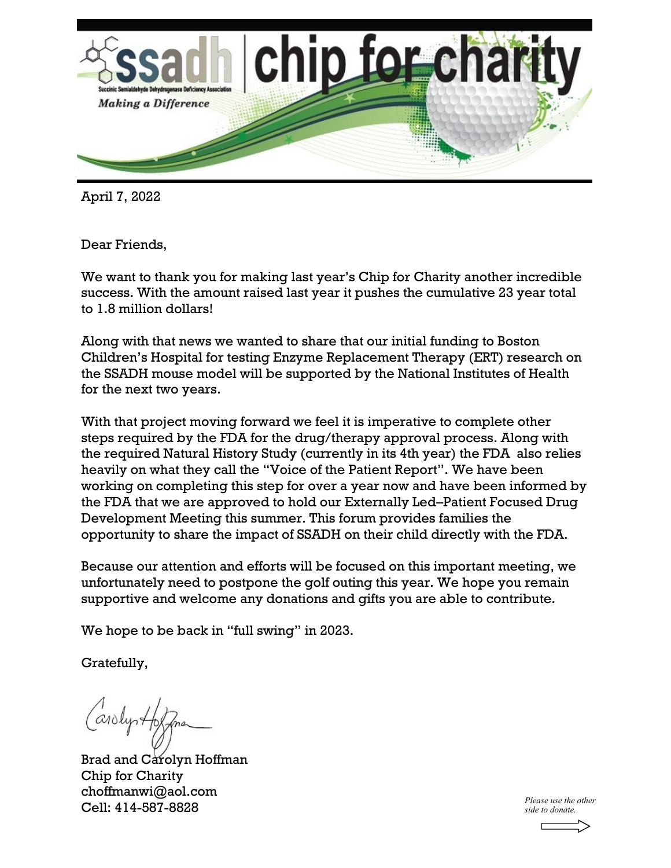

April 7, 2022

Dear Friends,

We want to thank you for making last year's Chip for Charity another incredible success. With the amount raised last year it pushes the cumulative 23 year total to 1.8 million dollars!

Along with that news we wanted to share that our initial funding to Boston Children's Hospital for testing Enzyme Replacement Therapy (ERT) research on the SSADH mouse model will be supported by the National Institutes of Health for the next two years.

With that project moving forward we feel it is imperative to complete other steps required by the FDA for the drug/therapy approval process. Along with the required Natural History Study (currently in its 4th year) the FDA also relies heavily on what they call the "Voice of the Patient Report". We have been working on completing this step for over a year now and have been informed by the FDA that we are approved to hold our Externally Led–Patient Focused Drug Development Meeting this summer. This forum provides families the opportunity to share the impact of SSADH on their child directly with the FDA.

Because our attention and efforts will be focused on this important meeting, we unfortunately need to postpone the golf outing this year. We hope you remain supportive and welcome any donations and gifts you are able to contribute.

We hope to be back in "full swing" in 2023.

Gratefully,

Carolystop

Brad and Carolyn Hoffman Chip for Charity choffmanwi@aol.com Cell: 414-587-8828 *Please use the other* 

*side to donate.*